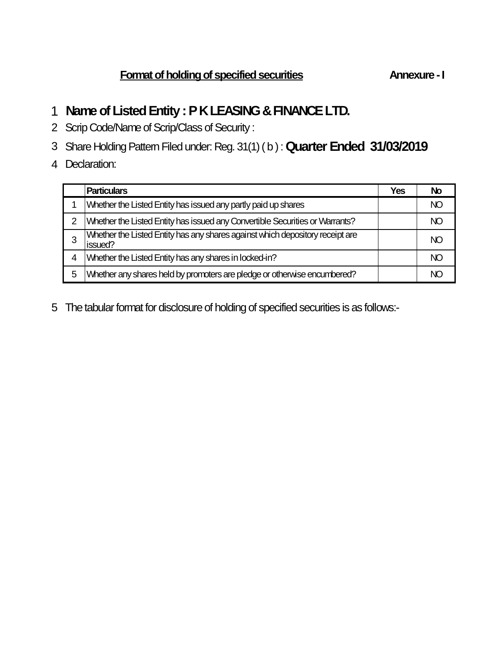# **Name of Listed Entity : P K LEASING & FINANCE LTD.**

- Scrip Code/Name of Scrip/Class of Security :
- Share Holding Pattern Filed under: Reg. 31(1) ( b ) : **Quarter Ended 31/03/2019**
- Declaration:

|   | <b>Particulars</b>                                                                       | Yes | No  |
|---|------------------------------------------------------------------------------------------|-----|-----|
|   | Whether the Listed Entity has issued any partly paid up shares                           |     | NC  |
| 2 | Whether the Listed Entity has issued any Convertible Securities or Warrants?             |     | NC. |
|   | Whether the Listed Entity has any shares against which depository receipt are<br>issued? |     | NC. |
| 4 | Whether the Listed Entity has any shares in locked-in?                                   |     | NC. |
| 5 | Whether any shares held by promoters are pledge or otherwise encumbered?                 |     |     |

The tabular format for disclosure of holding of specified securities is as follows:-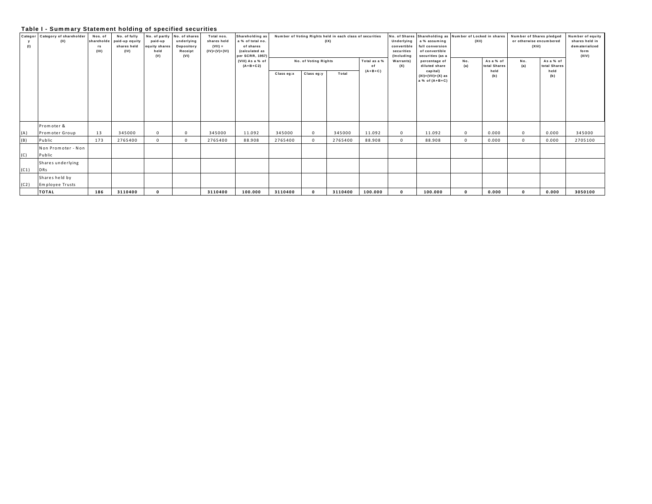# Table I - Summary Statement holding of specified securities

| (1)  | Categor Category of shareholder<br>(II) | Nos. of<br>rs<br>(III) | No. of fully<br>shareholde paid-up equity<br>shares held<br>(IV) | paid-up<br>equity shares<br>held<br>(V) | No. of partly No. of shares<br>underlying<br>Depository<br>Receipt<br>(VI) | Total nos.<br>shares held<br>$(VII) =$<br>$(IV)+(V)+(V)$ | Shareholding as<br>a % of total no.<br>of shares<br>(calculated as<br>per SCRR, 1957 |            |                                                             | Number of Voting Rights held in each class of securities<br>(IX) |         | Underlying<br>convertible<br>securities<br>(Including | No. of Shares Shareholding as Number of Locked in shares<br>a % assuming<br>full conversion<br>of convertible<br>securities (as a | (XII)      |       | Number of Shares pledged<br>or otherwise encumbered<br>(XIII) | Number of equity<br>shares held in<br>dematerialized<br>form<br>(XIV) |         |
|------|-----------------------------------------|------------------------|------------------------------------------------------------------|-----------------------------------------|----------------------------------------------------------------------------|----------------------------------------------------------|--------------------------------------------------------------------------------------|------------|-------------------------------------------------------------|------------------------------------------------------------------|---------|-------------------------------------------------------|-----------------------------------------------------------------------------------------------------------------------------------|------------|-------|---------------------------------------------------------------|-----------------------------------------------------------------------|---------|
|      |                                         |                        |                                                                  |                                         |                                                                            |                                                          | (VIII) As a % of<br>$(A+B+C2)$                                                       | Class eg:x | No. of Voting Rights<br>Total as a %<br>Class eg:y<br>Total |                                                                  |         | Warrants)<br>(X)                                      | percentage of<br>diluted share<br>capital)<br>$(XI) = (VII) + (X)$ as                                                             | No.<br>(a) |       | No.<br>(a)                                                    | As a % of<br>total Shares<br>held<br>(b)                              |         |
|      |                                         |                        |                                                                  |                                         |                                                                            |                                                          |                                                                                      |            |                                                             |                                                                  |         |                                                       | a % of $(A+B+C)$                                                                                                                  |            | (b)   |                                                               |                                                                       |         |
|      |                                         |                        |                                                                  |                                         |                                                                            |                                                          |                                                                                      |            |                                                             |                                                                  |         |                                                       |                                                                                                                                   |            |       |                                                               |                                                                       |         |
|      |                                         |                        |                                                                  |                                         |                                                                            |                                                          |                                                                                      |            |                                                             |                                                                  |         |                                                       |                                                                                                                                   |            |       |                                                               |                                                                       |         |
|      | Promoter &                              |                        |                                                                  |                                         |                                                                            |                                                          |                                                                                      |            |                                                             |                                                                  |         |                                                       |                                                                                                                                   |            |       |                                                               |                                                                       |         |
| (A)  | Promoter Group                          | 13                     | 345000                                                           | $\Omega$                                | $\Omega$                                                                   | 345000                                                   | 11.092                                                                               | 345000     | $\Omega$                                                    | 345000                                                           | 11.092  | $\mathbf{0}$                                          | 11.092                                                                                                                            | $\Omega$   | 0.000 | $^{\circ}$                                                    | 0.000                                                                 | 345000  |
| (B)  | Public                                  | 173                    | 2765400                                                          | $\Omega$                                | $\Omega$                                                                   | 2765400                                                  | 88.908                                                                               | 2765400    | $\Omega$                                                    | 2765400                                                          | 88.908  | $\Omega$                                              | 88.908                                                                                                                            |            | 0.000 | $\Omega$                                                      | 0.000                                                                 | 2705100 |
| (C)  | Non Promoter - Non<br>Public            |                        |                                                                  |                                         |                                                                            |                                                          |                                                                                      |            |                                                             |                                                                  |         |                                                       |                                                                                                                                   |            |       |                                                               |                                                                       |         |
| (C1) | Shares underlying<br>DRs                |                        |                                                                  |                                         |                                                                            |                                                          |                                                                                      |            |                                                             |                                                                  |         |                                                       |                                                                                                                                   |            |       |                                                               |                                                                       |         |
| (C2) | Shares held by<br>Employee Trusts       |                        |                                                                  |                                         |                                                                            |                                                          |                                                                                      |            |                                                             |                                                                  |         |                                                       |                                                                                                                                   |            |       |                                                               |                                                                       |         |
|      | <b>TOTAL</b>                            | 186                    | 3110400                                                          | $\Omega$                                |                                                                            | 3110400                                                  | 100.000                                                                              | 3110400    | $\Omega$                                                    | 3110400                                                          | 100.000 | $\Omega$                                              | 100.000                                                                                                                           |            | 0.000 | $\Omega$                                                      | 0.000                                                                 | 3050100 |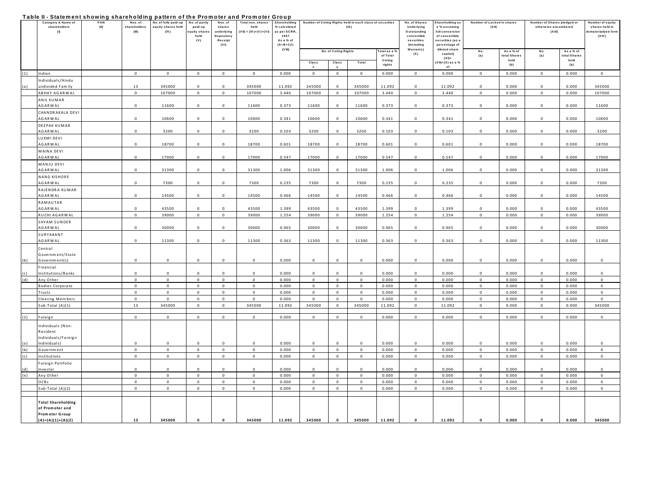#### Table II - Statement showing shareholding pattern of the Promoter and Promoter Group

|     | <br>Category & Name of         | ,,,,,,,,,<br>PAN | ,,,,,,<br>Nos.of | No. of fully paid-up | No. of partly            | .<br>Nos. of            | .<br>Total nos. shares | .<br>Shareholding |              |                      | Number of Voting Rights held in each class of securities |                            | No. of Shares                     | Shareholding as      | Number of Locked in shares |             | Number of Shares pledged or | Number of equity             |                |  |
|-----|--------------------------------|------------------|------------------|----------------------|--------------------------|-------------------------|------------------------|-------------------|--------------|----------------------|----------------------------------------------------------|----------------------------|-----------------------------------|----------------------|----------------------------|-------------|-----------------------------|------------------------------|----------------|--|
|     | shareholders                   | (II)             | shareholders     | equity shares held   | paid-up                  | shares                  | held                   | % calculated      |              | (IX)                 |                                                          |                            | Underlying                        | a % assuming         | (XII)                      |             | otherwise encumbered        |                              | shares held in |  |
| (1) |                                | (III)            | (IV)             | equity share<br>held | underlying<br>Depository | $(VII) = (IV)+(V)+(VI)$ | as per SCRR,<br>1957   |                   |              |                      |                                                          | Outstanding<br>convertible | full conversion<br>of convertible |                      |                            | $(X$ lil)   |                             | dematerialized form<br>(XIV) |                |  |
|     |                                |                  |                  |                      | (V)                      | Receipt                 |                        | As a % of         |              |                      |                                                          | securities                 | securities (as a                  |                      |                            |             |                             |                              |                |  |
|     |                                |                  |                  |                      |                          | (VI)                    |                        | $(A+B+C2)$        |              |                      |                                                          | (Including                 | percentage of                     |                      |                            |             |                             |                              |                |  |
|     |                                |                  |                  |                      |                          |                         |                        | (V III)           |              | No. of Voting Rights |                                                          | Fotalas a %                | Warrants)                         | diluted share        | No.                        | As a % of   | No.                         | As a % of                    |                |  |
|     |                                |                  |                  |                      |                          |                         |                        |                   |              |                      |                                                          | of Total                   | (X)                               | capital)<br>$(XI) =$ | (a)                        | otal Shares | (a)                         | total Shares                 |                |  |
|     |                                |                  |                  |                      |                          |                         |                        |                   | Class        | Class                | Total                                                    | Voting<br>rights           |                                   | (VII)+(X) as a %     |                            | held<br>(b) |                             | held<br>(b)                  |                |  |
|     |                                |                  |                  |                      |                          |                         |                        |                   | $\mathbf{x}$ |                      |                                                          |                            |                                   | of                   |                            |             |                             |                              |                |  |
| (1) | Indian                         |                  | $\mathbf{0}$     | $\circ$              | $\mathbf{0}$             | $\Omega$                | $\mathbf{0}$           | 0.000             | $\circ$      | $\mathbf{0}$         | $\mathbf{0}$                                             | 0.000                      | $\mathbf{0}$                      | 0.000                | $\Omega$                   | 0.000       | $\circ$                     | 0.000                        | $\mathbf{0}$   |  |
|     | Individuals/Hindu              |                  |                  |                      |                          |                         |                        |                   |              |                      |                                                          |                            |                                   |                      |                            |             |                             |                              |                |  |
|     | undivided Family               |                  | 13               | 345000               | $\mathbf 0$              | $\Omega$                | 345000                 | 11.092            | 345000       | $\Omega$             | 345000                                                   | 11.092                     | $^{\circ}$                        | 11.092               | $\mathbf 0$                | 0.000       | $\mathbf 0$                 | 0.000                        | 345000         |  |
|     | ABHAY AGARWAL                  |                  | $\mathbf 0$      | 107000               | $\overline{0}$           | $\overline{0}$          | 107000                 | 3.440             | 107000       | $\mathbf 0$          | 107000                                                   | 3.440                      | $\,0\,$                           | 3.440                | $\mathbf 0$                | 0.000       | $\overline{0}$              | 0.000                        | 107000         |  |
|     | ANIL KUMAR                     |                  |                  |                      |                          |                         |                        |                   |              |                      |                                                          |                            |                                   |                      |                            |             |                             |                              |                |  |
|     | AGARWAL                        |                  | $\Omega$         | 11600                | $\Omega$                 | $\Omega$                | 11600                  | 0.373             | 11600        | $\Omega$             | 11600                                                    | 0.373                      | $\Omega$                          | 0.373                | $\Omega$                   | 0.000       | $\Omega$                    | 0.000                        | 11600          |  |
|     | CHANDRAKALA DEVI               |                  |                  |                      |                          |                         |                        |                   |              |                      |                                                          |                            |                                   |                      |                            |             |                             |                              |                |  |
|     | <b>AGARWAL</b>                 |                  | $\mathbf 0$      | 10600                | $\mathbf 0$              | $\overline{0}$          | 10600                  | 0.341             | 10600        | $\mathbf 0$          | 10600                                                    | 0.341                      | $\mathbf{0}$                      | 0.341                | $\mathbf{0}$               | 0.000       | $\overline{0}$              | 0.000                        | 10600          |  |
|     | DEEPAK KUMAR                   |                  |                  |                      |                          |                         |                        |                   |              |                      |                                                          |                            |                                   |                      |                            |             |                             |                              |                |  |
|     | <b>AGARWAL</b>                 |                  | $\Omega$         | 3200                 | $\circ$                  | $\Omega$                | 3200                   | 0.103             | 3200         | $\Omega$             | 3200                                                     | 0.103                      | $\Omega$                          | 0.103                | $\Omega$                   | 0.000       | $\Omega$                    | 0.000                        | 3200           |  |
|     | LUXMI DEVI                     |                  |                  |                      |                          |                         |                        |                   |              |                      |                                                          |                            |                                   |                      |                            |             |                             |                              |                |  |
|     | <b>AGARWAL</b>                 |                  | $\mathbf 0$      | 18700                | $\mathbf 0$              | $\mathbf{0}$            | 18700                  | 0.601             | 18700        | $\mathbf{0}$         | 18700                                                    | 0.601                      | $\mathbf 0$                       | 0.601                | $\mathbf 0$                | 0.000       | $\mathbf 0$                 | 0.000                        | 18700          |  |
|     | MAINA DEVI                     |                  |                  |                      |                          |                         |                        |                   |              |                      |                                                          |                            |                                   |                      |                            |             |                             |                              |                |  |
|     | <b>AGARWAL</b>                 |                  | $\Omega$         | 17000                | $\mathsf 0$              | $\Omega$                | 17000                  | 0.547             | 17000        | $\Omega$             | 17000                                                    | 0.547                      | $\Omega$                          | 0.547                | $\Omega$                   | 0.000       | $\Omega$                    | 0.000                        | 17000          |  |
|     | MANJU DEVI                     |                  |                  |                      |                          |                         |                        |                   |              |                      |                                                          |                            |                                   |                      |                            |             |                             |                              |                |  |
|     | <b>AGARWAL</b>                 |                  | $\mathbf 0$      | 31300                | $\mathbf 0$              | $^{\circ}$              | 31300                  | 1.006             | 31300        | $\mathbf 0$          | 31300                                                    | 1.006                      | $\mathbf{0}$                      | 1.006                | $\mathbf 0$                | 0.000       | $\mathbf 0$                 | 0.000                        | 31300          |  |
|     | NAND KISHORE                   |                  |                  |                      |                          |                         |                        |                   |              |                      |                                                          |                            |                                   |                      |                            |             |                             |                              |                |  |
|     | <b>AGARWAL</b>                 |                  | $\mathbf 0$      | 7300                 | $\mathbf 0$              | $\overline{0}$          | 7300                   | 0.235             | 7300         | $\mathbf{0}$         | 7300                                                     | 0.235                      | $\mathbf{0}$                      | 0.235                | $\mathbf 0$                | 0.000       | $\mathbf 0$                 | 0.000                        | 7300           |  |
|     | RAJENDRA KUMAR                 |                  |                  |                      |                          |                         |                        |                   |              |                      |                                                          |                            |                                   |                      |                            |             |                             |                              |                |  |
|     | <b>AGARWAL</b>                 |                  | $\mathbf 0$      | 14500                | $\mathbf 0$              | $\mathsf 0$             | 14500                  | 0.466             | 14500        | $\mathbf{0}$         | 14500                                                    | 0.466                      | $\mathsf 0$                       | 0.466                | $\mathbf 0$                | 0.000       | $\mathbf 0$                 | 0.000                        | 14500          |  |
|     | RAMAUTAR                       |                  |                  |                      |                          |                         |                        |                   |              |                      |                                                          |                            |                                   |                      |                            |             |                             |                              |                |  |
|     | AGARWAL                        |                  | $^{\circ}$       | 43500                | $\mathbf{0}$             | $\Omega$                | 43500                  | 1.399             | 43500        | $\Omega$             | 43500                                                    | 1.399                      | $\Omega$                          | 1.399                | $\Omega$                   | 0.000       | $\Omega$                    | 0.000                        | 43500          |  |
|     | RUCHI AGARWAL                  |                  | $\Omega$         | 39000                | $\mathsf 0$              | $\mathbf{0}$            | 39000                  | 1.254             | 39000        | $\mathsf 0$          | 39000                                                    | 1.254                      | $\mathsf 0$                       | 1.254                | $\mathsf 0$                | 0.000       | $\mathbf{0}$                | 0.000                        | 39000          |  |
|     |                                |                  |                  |                      |                          |                         |                        |                   |              |                      |                                                          |                            |                                   |                      |                            |             |                             |                              |                |  |
|     | SHYAM SUNDER<br><b>AGARWAL</b> |                  | $\mathsf 0$      | 30000                | $\mathbf 0$              | $\overline{0}$          | 30000                  | 0.965             | 30000        | $^{\circ}$           | 30000                                                    | 0.965                      |                                   | 0.965                | $\mathbf 0$                | 0.000       | $\mathbf 0$                 | 0.000                        | 30000          |  |
|     |                                |                  |                  |                      |                          |                         |                        |                   |              |                      |                                                          |                            | $\mathbf 0$                       |                      |                            |             |                             |                              |                |  |
|     | SURYAKANT                      |                  | $\mathbf 0$      | 11300                |                          | $\Omega$                |                        |                   |              |                      |                                                          |                            |                                   |                      |                            |             | $\mathbf 0$                 |                              |                |  |
|     | <b>AGARWAL</b>                 |                  |                  |                      | $\mathbf 0$              |                         | 11300                  | 0.363             | 11300        | $^{\circ}$           | 11300                                                    | 0.363                      | $\mathbf{0}$                      | 0.363                | $^{\circ}$                 | 0.000       |                             | 0.000                        | 11300          |  |
|     | Central                        |                  |                  |                      |                          |                         |                        |                   |              |                      |                                                          |                            |                                   |                      |                            |             |                             |                              |                |  |
|     | Government/State               |                  |                  |                      |                          |                         |                        |                   |              |                      |                                                          |                            |                                   |                      |                            |             |                             |                              |                |  |
|     | Government(s)                  |                  | $\mathbf 0$      | $\mathbf 0$          | $\mathbf 0$              | $\mathsf 0$             | $\mathbf 0$            | 0.000             | $\mathbf 0$  | $\mathbf 0$          | $\mathbf 0$                                              | 0.000                      | $\mathsf 0$                       | 0.000                | $\mathbf 0$                | 0.000       | $\mathbf 0$                 | 0.000                        | $\,$ 0         |  |
|     | Financial                      |                  |                  |                      |                          |                         |                        |                   |              |                      |                                                          |                            |                                   |                      |                            |             |                             |                              |                |  |
|     | nstitutions/Banks              |                  | $\mathbf 0$      | $\mathbf 0$          | $\mathbf 0$              | $\Omega$                | $\overline{0}$         | 0.000             | $\mathbf 0$  | $\Omega$             | $\mathbf 0$                                              | 0.000                      | $\Omega$                          | 0.000                | $\Omega$                   | 0.000       | $^{\circ}$                  | 0.000                        | $\,$ 0         |  |
| (d) | Any Other                      |                  | $\mathbf 0$      | $\mathbf 0$          | $\mathsf 0$              | $\mathsf 0$             | $\mathsf 0$            | 0.000             | $\mathbf 0$  | $\mathsf 0$          | $\mathbf 0$                                              | 0.000                      | $\mathsf 0$                       | 0.000                | $\mathbf 0$                | 0.000       | $\mathbf{0}$                | 0.000                        | $\mathbf 0$    |  |
|     | <b>Bodies Corporate</b>        |                  | $\mathbf 0$      | $\mathbf 0$          | $\mathbf{0}$             | $\mathbf{0}$            | $\mathbf 0$            | 0.000             | $\mathbf 0$  | $\mathbf 0$          | $\mathbf 0$                                              | 0.000                      | $\mathsf 0$                       | 0.000                | $\mathbf 0$                | 0.000       | $\mathbf 0$                 | 0.000                        | $\,$ 0         |  |
|     | Trusts                         |                  | $\mathbf 0$      | $\mathbf 0$          | $\mathbf 0$              | $\mathbf 0$             | $\,0\,$                | 0.000             | $\mathbf 0$  | $\mathsf 0$          | $\mathbf 0$                                              | 0.000                      | $\mathbf 0$                       | 0.000                | $\mathbf 0$                | 0.000       | $\overline{0}$              | 0.000                        | $\mathbf 0$    |  |
|     | Clearing Members               |                  | $\mathbf 0$      | $\mathbf 0$          | $\circ$                  | $\overline{0}$          | $\circ$                | 0.000             | $\mathbf 0$  | $\Omega$             | $\mathbf 0$                                              | 0.000                      | $\mathbf{0}$                      | 0.000                | $\mathbf 0$                | 0.000       | $\circ$                     | 0.000                        | $\mathbf{0}$   |  |
|     | Sub-Total $(A)(1)$             |                  | 13               | 345000               | $\mathsf 0$              | $\mathsf 0$             | 345000                 | 11.092            | 345000       | $\mathbf 0$          | 345000                                                   | 11.092                     | $\mathsf 0$                       | 11.092               | $\mathbf 0$                | 0.000       | $\circ$                     | 0.000                        | 345000         |  |
|     |                                |                  |                  |                      |                          |                         |                        |                   |              |                      |                                                          |                            |                                   |                      |                            |             |                             |                              |                |  |
| (2) | Foreign                        |                  | $\mathbf 0$      | $\mathbf 0$          | $\,0\,$                  | $\mathbf{0}$            | $\mathbf 0$            | 0.000             | $\mathbf 0$  | $\mathbf 0$          | $\mathbf 0$                                              | 0.000                      | $\mathbf{0}$                      | 0.000                | $^{\circ}$                 | 0.000       | $\mathbf 0$                 | 0.000                        | $\mathbf 0$    |  |
|     | Individuals (Non-              |                  |                  |                      |                          |                         |                        |                   |              |                      |                                                          |                            |                                   |                      |                            |             |                             |                              |                |  |
|     | Resident                       |                  |                  |                      |                          |                         |                        |                   |              |                      |                                                          |                            |                                   |                      |                            |             |                             |                              |                |  |
|     | Individuals/Foreign            |                  |                  |                      |                          |                         |                        |                   |              |                      |                                                          |                            |                                   |                      |                            |             |                             |                              |                |  |
|     | Individuals]                   |                  | $\Omega$         | $\Omega$             | $\Omega$                 | $\Omega$                | $\Omega$               | 0.000             | $\Omega$     | $\Omega$             | $\Omega$                                                 | 0.000                      | $\Omega$                          | 0.000                | $\Omega$                   | 0.000       | $\Omega$                    | 0.000                        | $\Omega$       |  |
| (b) | Government                     |                  | $\mathsf 0$      | $\mathbf 0$          | $\overline{0}$           | $\mathbf{0}$            | $\mathbf 0$            | 0.000             | $\mathbf 0$  | $\mathsf 0$          | $\mathbf 0$                                              | 0.000                      | $\circ$                           | 0.000                | $\mathbf 0$                | 0.000       | $\mathbf{0}$                | 0.000                        | $\mathbf{0}$   |  |
|     | Institutions                   |                  | $\mathbf 0$      | $\mathbf{0}$         | $\mathbf{0}$             | $\overline{0}$          | $\overline{0}$         | 0.000             | $\mathsf 0$  | $\overline{0}$       | $\mathbf 0$                                              | 0.000                      | $\mathbf{0}$                      | 0.000                | $\mathbf{0}$               | 0.000       | $\overline{0}$              | 0.000                        | $\mathbf{0}$   |  |
|     | Foreign Portfolio              |                  |                  |                      |                          |                         |                        |                   |              |                      |                                                          |                            |                                   |                      |                            |             |                             |                              |                |  |
|     | Investor                       |                  | $\Omega$         | $\mathbf 0$          | $\Omega$                 | $\Omega$                | $\Omega$               | 0.000             | $\mathbf{0}$ | $\Omega$             | $\Omega$                                                 | 0.000                      | $\Omega$                          | 0.000                | $\Omega$                   | 0.000       | $\Omega$                    | 0.000                        | $\Omega$       |  |
| (e) | Any Other                      |                  | $\mathsf 0$      | $\mathbf{0}$         | $\overline{0}$           | $\mathbf{0}$            | $\mathbf 0$            | 0.000             | $\mathbf 0$  | $\mathbf 0$          | $\mathbf 0$                                              | 0.000                      | $\mathsf 0$                       | 0.000                | $\mathbf 0$                | 0.000       | $\circ$                     | 0.000                        | $\mathbf 0$    |  |
|     | OCBs                           |                  | $\mathsf 0$      | $\mathbf 0$          | $\mathbf 0$              | $\mathbf{0}$            | $\,0\,$                | 0.000             | $\mathbf 0$  | $\mathbf 0$          | $\mathbf 0$                                              | 0.000                      | $\mathbf 0$                       | 0.000                | $^{\circ}$                 | 0.000       | $\mathbf 0$                 | 0.000                        | $\mathbf 0$    |  |
|     | Sub-Total (A)(2)               |                  | $\mathbf 0$      | $\mathbf 0$          | $\mathbf 0$              | $\mathbf 0$             | $\mathsf 0$            | 0.000             | $\,0\,$      | $\mathbf 0$          | $\mathbf 0$                                              | 0.000                      | $\mathbf 0$                       | 0.000                | $\,0\,$                    | 0.000       | $\overline{0}$              | 0.000                        | $\mathbf 0$    |  |
|     |                                |                  |                  |                      |                          |                         |                        |                   |              |                      |                                                          |                            |                                   |                      |                            |             |                             |                              |                |  |
|     | <b>Total Shareholding</b>      |                  |                  |                      |                          |                         |                        |                   |              |                      |                                                          |                            |                                   |                      |                            |             |                             |                              |                |  |
|     | of Promoter and                |                  |                  |                      |                          |                         |                        |                   |              |                      |                                                          |                            |                                   |                      |                            |             |                             |                              |                |  |
|     | Prom oter Group                |                  |                  |                      |                          |                         |                        |                   |              |                      |                                                          |                            |                                   |                      |                            |             |                             |                              |                |  |
|     | $(A)=(A)(1)+(A)(2)$            |                  | 13               | 345000               | $\mathbf{0}$             | $\mathbf{0}$            | 345000                 | 11.092            | 345000       | $\mathbf 0$          | 345000                                                   | 11.092                     | $\Omega$                          | 11.092               | $\mathbf{0}$               | 0.000       | $\mathbf 0$                 | 0.000                        | 345000         |  |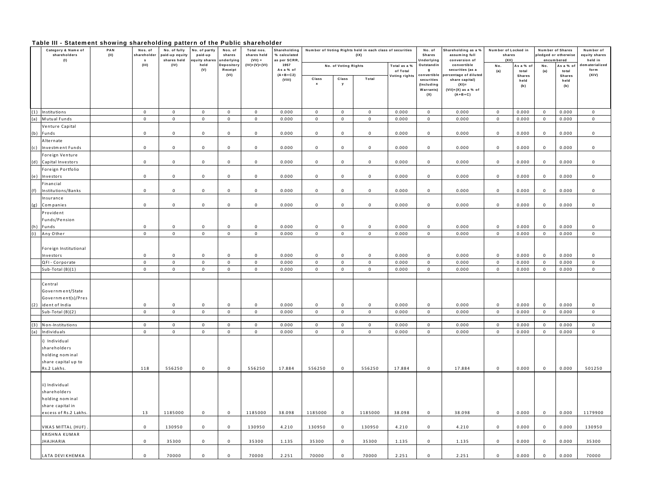# Table III - Statement showing shareholding pattern of the Public shareholder

|     | .<br>Category & Name of<br>shareholders<br>(1)                                        | 0.0.0.0.111 0.112 1112 11114 0.1101 0.1101 1111<br>PAN<br>$(\mathsf{II})$ | Nos. of<br>shareholder<br>s | No. of fully<br>paid-up equity<br>shares held | PULLUI II VI LIIU<br>No. of partly<br>paid-up<br>quity shares<br>held<br>(V) | .<br>Nos. of<br>shares<br>underlying | 911 Y 11 Y 1<br>Total nos.<br>shares held<br>$(VII) =$ | Shareholding<br>% calculated<br>as per SCRR |                            |                        | Number of Voting Rights held in each class of securities<br>(IX) |                          | No. of<br><b>Shares</b><br>Underlying                       | Shareholding as a %<br>assuming full<br>conversion of                                    | Number of Locked in<br>shares<br>(XII) |                              | Number of Shares<br>ledged or otherwise<br>encum bered |                              | Number of<br>equity shares<br>held in |
|-----|---------------------------------------------------------------------------------------|---------------------------------------------------------------------------|-----------------------------|-----------------------------------------------|------------------------------------------------------------------------------|--------------------------------------|--------------------------------------------------------|---------------------------------------------|----------------------------|------------------------|------------------------------------------------------------------|--------------------------|-------------------------------------------------------------|------------------------------------------------------------------------------------------|----------------------------------------|------------------------------|--------------------------------------------------------|------------------------------|---------------------------------------|
|     |                                                                                       |                                                                           | (III)                       | (IV)                                          |                                                                              | Depository<br>Receipt                | $(IV)+(V)+(VI)$                                        | 1957<br>As a % of                           |                            | No. of Voting Rights   |                                                                  | Total as a %<br>of Total | Outstandin<br>$\mathbf{q}$                                  | convertible<br>securities (as a                                                          | No.<br>(a)                             | Asa%of<br>total              | No.<br>(a)                                             | Asa%ot<br>total              | dem aterialized<br>form               |
|     |                                                                                       |                                                                           |                             |                                               |                                                                              | (VI)                                 |                                                        | $(A+B+C2)$<br>(VIII)                        | Class                      | Class<br><b>V</b>      | Total                                                            | Voting rights            | convertible<br>securities<br>(Including<br>Warrants)<br>(X) | ercentage of diluted<br>share capital)<br>$(XI) =$<br>$(VII)+(X)$ as a % of<br>$(A+B+C)$ |                                        | <b>Shares</b><br>held<br>(b) |                                                        | <b>Shares</b><br>held<br>(b) | (XIV)                                 |
|     |                                                                                       |                                                                           |                             |                                               |                                                                              |                                      |                                                        |                                             |                            |                        |                                                                  |                          |                                                             |                                                                                          |                                        |                              |                                                        |                              |                                       |
| (1) | Institutions                                                                          |                                                                           | $\mathbf{0}$<br>$\mathbf 0$ | $\mathbf 0$<br>$\mathbf 0$                    | $\mathbf{0}$<br>$\mathbf 0$                                                  | $\overline{0}$<br>$\overline{0}$     | $\mathbf{0}$                                           | 0.000<br>0.000                              | $\mathbf 0$<br>$\mathbf 0$ | $\overline{0}$         | $\mathbf{0}$                                                     | 0.000                    | $\mathbf{0}$                                                | 0.000                                                                                    | $\mathsf 0$<br>$\mathbf 0$             | 0.000                        | $\mathbf{0}$                                           | 0.000<br>0.000               | $\mathbf 0$<br>$\mathbf{0}$           |
| (a) | Mutual Funds<br>Venture Capital                                                       |                                                                           |                             |                                               |                                                                              |                                      | $\overline{0}$                                         |                                             |                            | $\mathbf{0}$           | $\mathbf{0}$                                                     | 0.000                    | $\mathbf 0$                                                 | 0.000                                                                                    |                                        | 0.000                        | $\,0\,$                                                |                              |                                       |
| (b) | Funds                                                                                 |                                                                           | $\mathbf 0$                 | $\mathbf 0$                                   | $\mathbf 0$                                                                  | $\mathbf 0$                          | $\mathbf{0}$                                           | 0.000                                       | $\mathbf{0}$               | $\mathbf 0$            | $\mathbf{0}$                                                     | 0.000                    | 0                                                           | 0.000                                                                                    | $\mathbf 0$                            | 0.000                        | $\,0\,$                                                | 0.000                        | $\mathbf 0$                           |
|     | Alternate                                                                             |                                                                           |                             |                                               |                                                                              |                                      |                                                        |                                             |                            |                        |                                                                  |                          |                                                             |                                                                                          |                                        |                              |                                                        |                              |                                       |
| (c) | Investment Funds                                                                      |                                                                           | $\mathbf{0}$                | $\mathbf 0$                                   | $\mathsf 0$                                                                  | 0                                    | $\mathbf 0$                                            | 0.000                                       | $\mathsf 0$                | $\mathsf 0$            | $\mathbf{0}$                                                     | 0.000                    | $\mathbf 0$                                                 | 0.000                                                                                    | $\mathbf 0$                            | 0.000                        | $\mathbf 0$                                            | 0.000                        | $\mathbf 0$                           |
|     | Foreign Venture                                                                       |                                                                           |                             |                                               |                                                                              |                                      |                                                        |                                             |                            |                        |                                                                  |                          |                                                             |                                                                                          |                                        |                              |                                                        |                              |                                       |
| (d) | Capital Investors                                                                     |                                                                           | $\mathbf{0}$                | $\mathbf 0$                                   | $\mathbf 0$                                                                  | $\mathbf 0$                          | $\mathbf{0}$                                           | 0.000                                       | $\mathsf 0$                | $\mathbf 0$            | $\mathbf{0}$                                                     | 0.000                    | $\mathbf 0$                                                 | 0.000                                                                                    | $\mathbf 0$                            | 0.000                        | $\mathbf 0$                                            | 0.000                        | $\Omega$                              |
|     | Foreign Portfolio                                                                     |                                                                           |                             |                                               |                                                                              |                                      |                                                        |                                             |                            |                        |                                                                  |                          |                                                             |                                                                                          |                                        |                              |                                                        |                              |                                       |
| (e) | Investors                                                                             |                                                                           | $\mathbf{0}$                | $\mathbf 0$                                   | $\mathbf 0$                                                                  | $\mathbf{0}$                         | $\mathbf{0}$                                           | 0.000                                       | $\mathsf 0$                | $\mathbf 0$            | $\mathbf{0}$                                                     | 0.000                    | $\mathsf 0$                                                 | 0.000                                                                                    | $\mathbf 0$                            | 0.000                        | $\mathbf 0$                                            | 0.000                        | $\mathbf 0$                           |
|     | Financial                                                                             |                                                                           |                             |                                               |                                                                              |                                      |                                                        |                                             |                            |                        |                                                                  |                          |                                                             |                                                                                          |                                        |                              |                                                        |                              |                                       |
| (f) | Institutions/Banks                                                                    |                                                                           | $\mathbf 0$                 | $\,0\,$                                       | $\mathbf 0$                                                                  | $\mathbf 0$                          | $\mathbf{0}$                                           | 0.000                                       | $\mathbf 0$                | $\mathbf 0$            | $\mathbf 0$                                                      | 0.000                    | $\mathbf 0$                                                 | 0.000                                                                                    | $\,0\,$                                | 0.000                        | $\,0\,$                                                | 0.000                        | $\mathbf 0$                           |
| (g) | Insurance<br>Companies                                                                |                                                                           | $\mathbf 0$                 | $\mathbf 0$                                   | $\mathsf 0$                                                                  | $\mathbf 0$                          | $\mathbf 0$                                            | 0.000                                       | $\mathbf 0$                | $\mathbf 0$            | $\mathbf{0}$                                                     | 0.000                    | $\mathbf 0$                                                 | 0.000                                                                                    | $\mathsf 0$                            | 0.000                        | $\,0\,$                                                | 0.000                        | $\Omega$                              |
|     | Provident                                                                             |                                                                           |                             |                                               |                                                                              |                                      |                                                        |                                             |                            |                        |                                                                  |                          |                                                             |                                                                                          |                                        |                              |                                                        |                              |                                       |
|     | Funds/Pension                                                                         |                                                                           |                             |                                               |                                                                              |                                      |                                                        |                                             |                            |                        |                                                                  |                          |                                                             |                                                                                          |                                        |                              |                                                        |                              |                                       |
| (h) | Funds                                                                                 |                                                                           | $\mathsf 0$                 | $\mathbf 0$                                   | $\mathsf{O}\xspace$                                                          | $\mathbf 0$                          | $\mathsf 0$                                            | 0.000                                       | $\mathsf 0$                | $\mathsf 0$            | $\mathsf 0$                                                      | 0.000                    | $\mathbf 0$                                                 | 0.000                                                                                    | $\mathbf 0$                            | 0.000                        | $\mathbf 0$                                            | 0.000                        | $\mathbf 0$                           |
| (i) | Any Other                                                                             |                                                                           | $\mathsf 0$                 | $\mathbf 0$                                   | $\mathbf 0$                                                                  | $\mathbf 0$                          | $\mathbf{0}$                                           | 0.000                                       | $\mathbf 0$                | $\overline{0}$         | $\mathbf 0$                                                      | 0.000                    | $\mathbf 0$                                                 | 0.000                                                                                    | $\mathbf 0$                            | 0.000                        | $\,0\,$                                                | 0.000                        | $\mathsf 0$                           |
|     | Foreign Institutional                                                                 |                                                                           |                             |                                               |                                                                              |                                      |                                                        |                                             |                            |                        |                                                                  |                          |                                                             |                                                                                          |                                        |                              |                                                        |                              |                                       |
|     | Investors<br>QFI - Corporate                                                          |                                                                           | $\mathbf 0$<br>$\mathbf 0$  | $\mathsf 0$<br>$\mathbf 0$                    | $\mathbf 0$<br>$\mathbf 0$                                                   | $\Omega$<br>$\mathbf{0}$             | $\mathbf 0$<br>$\mathbf{0}$                            | 0.000<br>0.000                              | 0<br>$\mathbf 0$           | $\,0\,$<br>$\mathbf 0$ | $\mathbf 0$<br>$\mathbf 0$                                       | 0.000<br>0.000           | $\mathbf 0$<br>$\mathbf 0$                                  | 0.000                                                                                    | $\mathbf 0$<br>$\mathbf 0$             | 0.000<br>0.000               | $\,0\,$<br>$\mathbf 0$                                 | 0.000<br>0.000               | $\Omega$<br>$\pmb{0}$                 |
|     | Sub-Total (B)(1)                                                                      |                                                                           | $\mathbf 0$                 | $\mathbf{0}$                                  | $\mathbf 0$                                                                  | $\mathbf 0$                          | $\mathbf 0$                                            | 0.000                                       | $\mathbf 0$                | $\mathbf{0}$           | $\mathbf{0}$                                                     | 0.000                    | $\mathbf 0$                                                 | 0.000<br>0.000                                                                           | $\mathbf 0$                            | 0.000                        | $\mathbf 0$                                            | 0.000                        | $\mathbf 0$                           |
|     |                                                                                       |                                                                           |                             |                                               |                                                                              |                                      |                                                        |                                             |                            |                        |                                                                  |                          |                                                             |                                                                                          |                                        |                              |                                                        |                              |                                       |
| (2) | Central<br>Government/State<br>Government(s)/Pres<br>ident of India                   |                                                                           | $\mathbf 0$                 | $\mathbf 0$                                   | $\mathbf 0$                                                                  | $\mathbf 0$                          | $\mathbf 0$                                            | 0.000                                       | $\mathbf 0$                | $\mathbf 0$            | $\mathbf 0$                                                      | 0.000                    | $\mathbf 0$                                                 | 0.000                                                                                    | $\mathsf 0$                            | 0.000                        | $\mathbf 0$                                            | 0.000                        | $\mathbf 0$                           |
|     | Sub-Total (B)(2)                                                                      |                                                                           | $\mathsf 0$                 | $\mathbf 0$                                   | $\mathbf 0$                                                                  | $\mathbf{0}$                         | $\mathbf{0}$                                           | 0.000                                       | $\mathbf{0}$               | $\mathbf 0$            | $\mathbf 0$                                                      | 0.000                    | $\mathbf{0}$                                                | 0.000                                                                                    | $\mathsf 0$                            | 0.000                        | $\mathbf 0$                                            | 0.000                        | $\mathbf 0$                           |
|     |                                                                                       |                                                                           |                             |                                               |                                                                              |                                      |                                                        |                                             |                            |                        |                                                                  |                          |                                                             |                                                                                          |                                        |                              |                                                        |                              |                                       |
| (3) | Non-Institutions                                                                      |                                                                           | $\mathbf{0}$                | $\mathbf 0$                                   | $\mathbf 0$                                                                  | $\mathbf 0$                          | $\mathbf 0$                                            | 0.000                                       | $\mathbf{0}$               | $\mathbf 0$            | $\mathbf{0}$                                                     | 0.000                    | $\mathbf 0$                                                 | 0.000                                                                                    | $\mathbf 0$                            | 0.000                        | $\mathbf 0$                                            | 0.000                        | $\mathbf 0$                           |
| (a) | Individuals                                                                           |                                                                           | $\mathsf 0$                 | $\mathbf 0$                                   | $\mathbf 0$                                                                  | $\mathbf{0}$                         | $\mathbf 0$                                            | 0.000                                       | $\mathbf 0$                | $\mathbf 0$            | $\mathbf 0$                                                      | 0.000                    | $\mathbf 0$                                                 | 0.000                                                                                    | $\mathsf 0$                            | 0.000                        | $\,0\,$                                                | 0.000                        | $\mathbf 0$                           |
|     | ) Individual<br>shareholders<br>holding nominal<br>share capital up to<br>Rs.2 Lakhs. |                                                                           | 118                         | 556250                                        | $\mathsf{O}$                                                                 | $\mathbf{0}$                         | 556250                                                 | 17.884                                      | 556250                     | $\mathbf 0$            | 556250                                                           | 17.884                   | $\mathbf 0$                                                 | 17.884                                                                                   | $\mathsf 0$                            | 0.000                        | $\,0\,$                                                | 0.000                        | 501250                                |
|     | ii) Individual<br>shareholders<br>holding nominal<br>share capital in                 |                                                                           |                             |                                               |                                                                              |                                      |                                                        |                                             |                            |                        |                                                                  |                          |                                                             |                                                                                          |                                        |                              |                                                        |                              |                                       |
|     | excess of Rs.2 Lakhs.                                                                 |                                                                           | 13                          | 1185000                                       | $\mathbf 0$                                                                  | $\mathbf 0$                          | 1185000                                                | 38.098                                      | 1185000                    | $\mathbf 0$            | 1185000                                                          | 38.098                   | $\mathbf 0$                                                 | 38.098                                                                                   | $\mathbf 0$                            | 0.000                        | $\mathbf 0$                                            | 0.000                        | 1179900                               |
|     | VIKAS MITTAL (HUF)<br>KRISHNA KUMAR                                                   |                                                                           | $\mathbf{0}$                | 130950                                        | $\mathbf{0}$                                                                 | $\mathbf 0$                          | 130950                                                 | 4.210                                       | 130950                     | $\mathbf 0$            | 130950                                                           | 4.210                    | 0                                                           | 4.210                                                                                    | $\mathbf{0}$                           | 0.000                        | $\,0\,$                                                | 0.000                        | 130950                                |
|     | <b>IHAJHARIA</b>                                                                      |                                                                           | $\overline{0}$              | 35300                                         | $\mathbf 0$                                                                  | $\mathbf 0$                          | 35300                                                  | 1.135                                       | 35300                      | $\mathbf 0$            | 35300                                                            | 1.135                    | $\mathbf 0$                                                 | 1.135                                                                                    | $\mathbf{0}$                           | 0.000                        | $\,0\,$                                                | 0.000                        | 35300                                 |
|     | LATA DEVI KHEMKA                                                                      |                                                                           | $\mathbf 0$                 | 70000                                         | $\mathbf 0$                                                                  | $\mathbf 0$                          | 70000                                                  | 2.251                                       | 70000                      | $\mathbf{0}$           | 70000                                                            | 2.251                    | $\mathbf 0$                                                 | 2.251                                                                                    | $\mathbf 0$                            | 0.000                        | $\pmb{0}$                                              | 0.000                        | 70000                                 |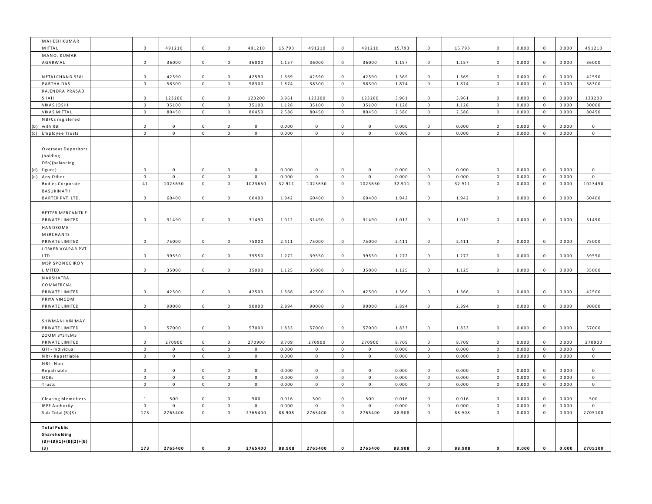| MAHESH KUMAR            |  |                     |                     |                    |                    |             |        |              |                     |              |        |                    |        |                    |       |              |       |                     |
|-------------------------|--|---------------------|---------------------|--------------------|--------------------|-------------|--------|--------------|---------------------|--------------|--------|--------------------|--------|--------------------|-------|--------------|-------|---------------------|
| <b>MITTAL</b>           |  | $\Omega$            | 491210              | $\mathsf 0$        | $\mathsf 0$        | 491210      | 15.793 | 491210       | $\mathsf 0$         | 491210       | 15.793 | $\Omega$           | 15.793 | $\mathsf 0$        | 0.000 | $\mathsf 0$  | 0.000 | 491210              |
| MANOJ KUMAR             |  |                     |                     |                    |                    |             |        |              |                     |              |        |                    |        |                    |       |              |       |                     |
| <b>AGARWAL</b>          |  | $\mathbf 0$         | 36000               | $\mathbf 0$        | $\mathbf 0$        | 36000       | 1.157  | 36000        | $\mathbf 0$         | 36000        | 1.157  | $\mathbf 0$        | 1.157  | $\mathbf 0$        | 0.000 | $\mathbf 0$  | 0.000 | 36000               |
|                         |  |                     |                     |                    |                    |             |        |              |                     |              |        |                    |        |                    |       |              |       |                     |
| NETAI CHAND SEAL        |  | $\mathsf 0$         | 42590               | $\mathbf 0$        | $\mathbf 0$        | 42590       | 1.369  | 42590        | $\mathsf 0$         | 42590        | 1.369  | $\mathbf 0$        | 1.369  | $\mathbf 0$        | 0.000 | $\,0\,$      | 0.000 | 42590               |
| PARTHA DAS              |  | $\mathsf{O}\xspace$ | 58300               | $\mathsf 0$        | $\mathsf 0$        | 58300       | 1.874  | 58300        | $\mathbf 0$         | 58300        | 1.874  | $\mathbf 0$        | 1.874  | $\mathbf 0$        | 0.000 | $\mathsf 0$  | 0.000 | 58300               |
| RAJEN DRA PRASAD        |  |                     |                     |                    |                    |             |        |              |                     |              |        |                    |        |                    |       |              |       |                     |
| 5НАН                    |  | $\Omega$            | 123200              | $\Omega$           | $\Omega$           | 123200      | 3.961  | 123200       | $\mathsf 0$         | 123200       | 3.961  | $\Omega$           | 3.961  | $\mathsf 0$        | 0.000 | $\mathbf 0$  | 0.000 | 123200              |
| VIKAS JOSHI             |  | $\mathbf 0$         | 35100               | $\mathbf 0$        | $\mathbf 0$        | 35100       | 1.128  | 35100        | $\mathbf 0$         | 35100        | 1.128  | $\mathbf 0$        | 1.128  | $\mathbf 0$        | 0.000 | $\mathsf 0$  | 0.000 | 30000               |
| VIKAS MITTAL            |  | $\mathsf 0$         | 80450               | $\,0\,$            | $\mathbf 0$        | 80450       | 2.586  | 80450        | $\mathbf 0$         | 80450        | 2.586  | $\mathbf 0$        | 2.586  | $\mathbf 0$        | 0.000 | $\mathbf 0$  | 0.000 | 80450               |
| NBFCs registered        |  |                     |                     |                    |                    |             |        |              |                     |              |        |                    |        |                    |       |              |       |                     |
| with RBI<br>(b)         |  | $\mathbf 0$         | $\mathbf{0}$        | $\mathbf{0}$       | $\mathbf 0$        | $\mathbf 0$ | 0.000  | $\mathbf{0}$ | $\mathbf 0$         | $\mathbf 0$  | 0.000  | $\mathbf{0}$       | 0.000  | $\mathbf 0$        | 0.000 | $\mathbf{0}$ | 0.000 | $\mathbf 0$         |
| (c)<br>Employee Trusts  |  | $\mathsf 0$         | $\mathsf 0$         | $\mathbf 0$        | $\mathbf 0$        | $\mathbf 0$ | 0.000  | $\mathbf 0$  | $\mathbf 0$         | $\mathbf 0$  | 0.000  | $\mathbf 0$        | 0.000  | $\mathsf 0$        | 0.000 | $\mathbf 0$  | 0.000 | $\mathsf{O}\xspace$ |
|                         |  |                     |                     |                    |                    |             |        |              |                     |              |        |                    |        |                    |       |              |       |                     |
| Overseas Depositors     |  |                     |                     |                    |                    |             |        |              |                     |              |        |                    |        |                    |       |              |       |                     |
| (holding                |  |                     |                     |                    |                    |             |        |              |                     |              |        |                    |        |                    |       |              |       |                     |
| DRs)(balancing          |  |                     |                     |                    |                    |             |        |              |                     |              |        |                    |        |                    |       |              |       |                     |
| (d)<br>figure)          |  | $\Omega$            | 0                   | $\mathbf{0}$       | $\mathbf{0}$       | $\mathbf 0$ | 0.000  | 0            | $\mathsf 0$         | $\mathbf{0}$ | 0.000  | $\mathbf 0$        | 0.000  | $\mathbf 0$        | 0.000 | $\mathbf{0}$ | 0.000 | 0                   |
| (e)<br>Any Other        |  | $\mathsf{O}\xspace$ | $\mathsf 0$         | $\mathbf 0$        | $\mathbf 0$        | $\mathbf 0$ | 0.000  | $\mathbf 0$  | $\mathbf 0$         | $\mathbf 0$  | 0.000  | $\mathbf 0$        | 0.000  | $\mathsf 0$        | 0.000 | $\mathbf 0$  | 0.000 | $\mathsf{O}\xspace$ |
| <b>Bodies Corporate</b> |  | $4\,1$              | 1023650             | $\mathbf 0$        | $\mathbf 0$        | 1023650     | 32.911 | 1023650      | $\mathsf{O}\xspace$ | 1023650      | 32.911 | $\mathbf 0$        | 32.911 | $\mathbf 0$        | 0.000 | $\mathbf 0$  | 0.000 | 1023450             |
| BASUKINATH              |  |                     |                     |                    |                    |             |        |              |                     |              |        |                    |        |                    |       |              |       |                     |
| <b>BARTER PVT. LTD.</b> |  | $\mathbf 0$         | 60400               | $\mathbf 0$        | $\mathbf 0$        | 60400       | 1.942  | 60400        | $\mathbf 0$         | 60400        | 1.942  | $\mathbf 0$        | 1.942  | $\mathbf 0$        | 0.000 | $\mathbf 0$  | 0.000 | 60400               |
|                         |  |                     |                     |                    |                    |             |        |              |                     |              |        |                    |        |                    |       |              |       |                     |
|                         |  |                     |                     |                    |                    |             |        |              |                     |              |        |                    |        |                    |       |              |       |                     |
| BETTER MERCANTILE       |  | $\Omega$            |                     |                    |                    |             |        |              |                     |              |        |                    |        |                    |       |              |       |                     |
| PRIVATE LIMITED         |  |                     | 31490               | $\mathbf 0$        | $\mathbf 0$        | 31490       | 1.012  | 31490        | $\mathbf 0$         | 31490        | 1.012  | $\mathbf 0$        | 1.012  | $\mathbf 0$        | 0.000 | $\mathbf 0$  | 0.000 | 31490               |
| HANDSOME                |  |                     |                     |                    |                    |             |        |              |                     |              |        |                    |        |                    |       |              |       |                     |
| MERCHANTS               |  |                     |                     |                    |                    |             |        |              |                     |              |        |                    |        |                    |       |              |       |                     |
| PRIVATE LIMITED         |  | $\mathbf 0$         | 75000               | $\mathsf 0$        | $\mathbf 0$        | 75000       | 2.411  | 75000        | $\mathsf 0$         | 75000        | 2.411  | $\mathbf 0$        | 2.411  | $\mathsf 0$        | 0.000 | $\mathbf 0$  | 0.000 | 75000               |
| LOWER VYAPAR PVT.       |  |                     |                     |                    |                    |             |        |              |                     |              |        |                    |        |                    |       |              |       |                     |
| TD.                     |  | $\mathsf 0$         | 39550               | $\mathsf 0$        | $\mathbf 0$        | 39550       | 1.272  | 39550        | $\mathsf 0$         | 39550        | 1.272  | $\,0\,$            | 1.272  | $\mathsf 0$        | 0.000 | $\mathsf 0$  | 0.000 | 39550               |
| MSP SPONGE IRON         |  |                     |                     |                    |                    |             |        |              |                     |              |        |                    |        |                    |       |              |       |                     |
| IMITED                  |  | $\Omega$            | 35000               | $\mathbf 0$        | $\mathbf 0$        | 35000       | 1.125  | 35000        | $\mathbf 0$         | 35000        | 1.125  | $\,0\,$            | 1.125  | $\mathbf 0$        | 0.000 | $\mathbf 0$  | 0.000 | 35000               |
| NAKSHATRA               |  |                     |                     |                    |                    |             |        |              |                     |              |        |                    |        |                    |       |              |       |                     |
| COMMERCIAL              |  |                     |                     |                    |                    |             |        |              |                     |              |        |                    |        |                    |       |              |       |                     |
| PRIVATE LIMITED         |  | $\Omega$            | 42500               | $\mathbf 0$        | $\mathbf 0$        | 42500       | 1.366  | 42500        | $\mathsf 0$         | 42500        | 1.366  | $\mathbf{0}$       | 1.366  | $\mathbf 0$        | 0.000 | $\mathbf 0$  | 0.000 | 42500               |
| PRIYA VINCOM            |  |                     |                     |                    |                    |             |        |              |                     |              |        |                    |        |                    |       |              |       |                     |
| PRIVATE LIMITED         |  | $\mathbf 0$         | 90000               | $\mathsf 0$        | $\mathsf 0$        | 90000       | 2.894  | 90000        | $\mathbf 0$         | 90000        | 2.894  | $\mathbf 0$        | 2.894  | $\mathsf 0$        | 0.000 | $\mathbf 0$  | 0.000 | 90000               |
|                         |  |                     |                     |                    |                    |             |        |              |                     |              |        |                    |        |                    |       |              |       |                     |
| <b>SHIVMANI VINIMAY</b> |  |                     |                     |                    |                    |             |        |              |                     |              |        |                    |        |                    |       |              |       |                     |
| PRIVATE LIMITED         |  | $\mathbf 0$         | 57000               | $\mathbf 0$        | $\mathbf 0$        | 57000       | 1.833  | 57000        | $\mathbf 0$         | 57000        | 1.833  | $\,0\,$            | 1.833  | $\mathbf 0$        | 0.000 | $\,0\,$      | 0.000 | 57000               |
| ZOOM SYSTEMS            |  |                     |                     |                    |                    |             |        |              |                     |              |        |                    |        |                    |       |              |       |                     |
| PRIVATE LIMITED         |  | $\mathbf 0$         | 270900              | $\mathbf 0$        | $\mathbf 0$        | 270900      | 8.709  | 270900       | $\mathsf 0$         | 270900       | 8.709  | $\Omega$           | 8.709  | $\mathbf 0$        | 0.000 | $\mathbf 0$  | 0.000 | 270900              |
| QFI - Individual        |  | $\mathsf{O}\xspace$ | $\mathbf 0$         | $\mathbf 0$        | $\mathbf 0$        | $\mathbf 0$ | 0.000  | $\pmb{0}$    | $\mathbf 0$         | $\Omega$     | 0.000  | $\mathbf 0$        | 0.000  | $\mathbf 0$        | 0.000 | $\mathbf 0$  | 0.000 | $\mathbf 0$         |
| NRI - Repatriable       |  | $\mathsf 0$         | $\mathsf 0$         | $\mathsf 0$        | $\mathbf 0$        | $\mathbf 0$ | 0.000  | $\mathbf{0}$ | $\mathbf 0$         | $\mathsf 0$  | 0.000  | $\mathsf 0$        | 0.000  | $\mathsf 0$        | 0.000 | $\mathbf 0$  | 0.000 | $\mathsf 0$         |
| NRI - Non-              |  |                     |                     |                    |                    |             |        |              |                     |              |        |                    |        |                    |       |              |       |                     |
| Repatriable             |  | $\mathbf 0$         | $\mathbf{0}$        | $\mathbf{0}$       | $\mathbf 0$        | $\mathbf 0$ | 0.000  | $\mathbf{0}$ | $\mathbf 0$         | $\mathbf 0$  | 0.000  | $\mathbf{0}$       | 0.000  | $\mathbf 0$        | 0.000 | $\mathbf 0$  | 0.000 | $\mathsf 0$         |
| OCBs                    |  | $\mathsf{O}\xspace$ | $\mathsf 0$         | $\mathbf 0$        | $\mathbf 0$        | $\mathbf 0$ | 0.000  | $\mathbf 0$  | $\mathbf 0$         | $\mathbf 0$  | 0.000  | $\mathbf 0$        | 0.000  | $\mathsf 0$        | 0.000 | $\mathbf 0$  | 0.000 | $\mathsf 0$         |
| Trusts                  |  | $\mathbf{0}$        | $\mathbf 0$         | $\mathsf 0$        | $\mathbf 0$        | $\mathbf 0$ | 0.000  | $\mathbf{0}$ | $\mathbf 0$         | $\mathbf 0$  | 0.000  | $\mathsf 0$        | 0.000  | $\mathbf 0$        | 0.000 | $\mathbf 0$  | 0.000 | $\mathsf 0$         |
|                         |  |                     |                     |                    |                    |             |        |              |                     |              |        |                    |        |                    |       |              |       |                     |
| Clearing Memebers       |  | $\overline{1}$      | 500                 | $\mathbf 0$        | $\mathbf 0$        | 500         | 0.016  | 500          | $\mathsf 0$         | 500          | 0.016  | $\mathbf 0$        | 0.016  | $\mathsf 0$        | 0.000 | $\mathbf 0$  | 0.000 | 500                 |
| <b>EPF Authority</b>    |  | $\mathbf 0$         | $\mathsf{O}\xspace$ | $\mathbf 0$        | $\mathbf 0$        | $\mathbf 0$ | 0.000  | $\mathbf 0$  | $\mathbf 0$         | $\mathbf 0$  | 0.000  | $\mathbf 0$        | 0.000  | $\mathbf 0$        | 0.000 | $\mathbf 0$  | 0.000 | $\mathsf 0$         |
| Sub-Total (B)(3)        |  | 173                 | 2765400             | $\mathbf 0$        | $\mathbf 0$        | 2765400     | 88.908 | 2765400      | $\mathbf 0$         | 2765400      | 88.908 | $\mathbf 0$        | 88.908 | $\mathbf 0$        | 0.000 | $\mathbf 0$  | 0.000 | 2705100             |
|                         |  |                     |                     |                    |                    |             |        |              |                     |              |        |                    |        |                    |       |              |       |                     |
| Total Public            |  |                     |                     |                    |                    |             |        |              |                     |              |        |                    |        |                    |       |              |       |                     |
| Shareholding            |  |                     |                     |                    |                    |             |        |              |                     |              |        |                    |        |                    |       |              |       |                     |
| $(B)=(B)(1)+(B)(2)+(B)$ |  |                     |                     |                    |                    |             |        |              |                     |              |        |                    |        |                    |       |              |       |                     |
| (3)                     |  | 173                 | 2765400             | $\pmb{\mathsf{o}}$ | $\pmb{\mathsf{o}}$ | 2765400     | 88.908 | 2765400      | $\pmb{\mathsf{o}}$  | 2765400      | 88.908 | $\pmb{\mathsf{o}}$ | 88.908 | $\pmb{\mathsf{o}}$ | 0.000 | $\pmb{0}$    | 0.000 | 2705100             |
|                         |  |                     |                     |                    |                    |             |        |              |                     |              |        |                    |        |                    |       |              |       |                     |